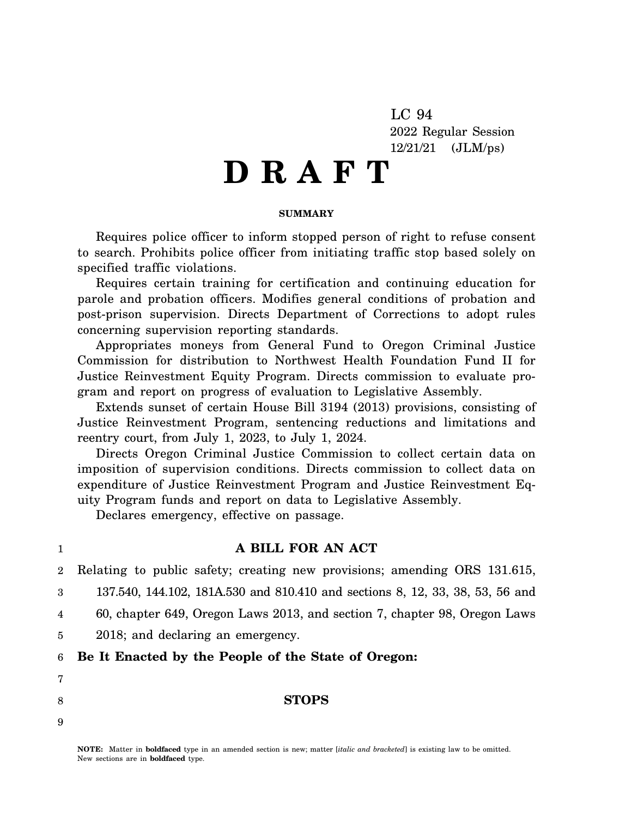LC 94 2022 Regular Session 12/21/21 (JLM/ps)

# **D R A F T**

#### **SUMMARY**

Requires police officer to inform stopped person of right to refuse consent to search. Prohibits police officer from initiating traffic stop based solely on specified traffic violations.

Requires certain training for certification and continuing education for parole and probation officers. Modifies general conditions of probation and post-prison supervision. Directs Department of Corrections to adopt rules concerning supervision reporting standards.

Appropriates moneys from General Fund to Oregon Criminal Justice Commission for distribution to Northwest Health Foundation Fund II for Justice Reinvestment Equity Program. Directs commission to evaluate program and report on progress of evaluation to Legislative Assembly.

Extends sunset of certain House Bill 3194 (2013) provisions, consisting of Justice Reinvestment Program, sentencing reductions and limitations and reentry court, from July 1, 2023, to July 1, 2024.

Directs Oregon Criminal Justice Commission to collect certain data on imposition of supervision conditions. Directs commission to collect data on expenditure of Justice Reinvestment Program and Justice Reinvestment Equity Program funds and report on data to Legislative Assembly.

Declares emergency, effective on passage.

## **A BILL FOR AN ACT**

2 Relating to public safety; creating new provisions; amending ORS 131.615,

3 137.540, 144.102, 181A.530 and 810.410 and sections 8, 12, 33, 38, 53, 56 and

4 60, chapter 649, Oregon Laws 2013, and section 7, chapter 98, Oregon Laws

5 2018; and declaring an emergency.

#### 6 **Be It Enacted by the People of the State of Oregon:**

7

1

8

9

**NOTE:** Matter in **boldfaced** type in an amended section is new; matter [*italic and bracketed*] is existing law to be omitted. New sections are in **boldfaced** type.

**STOPS**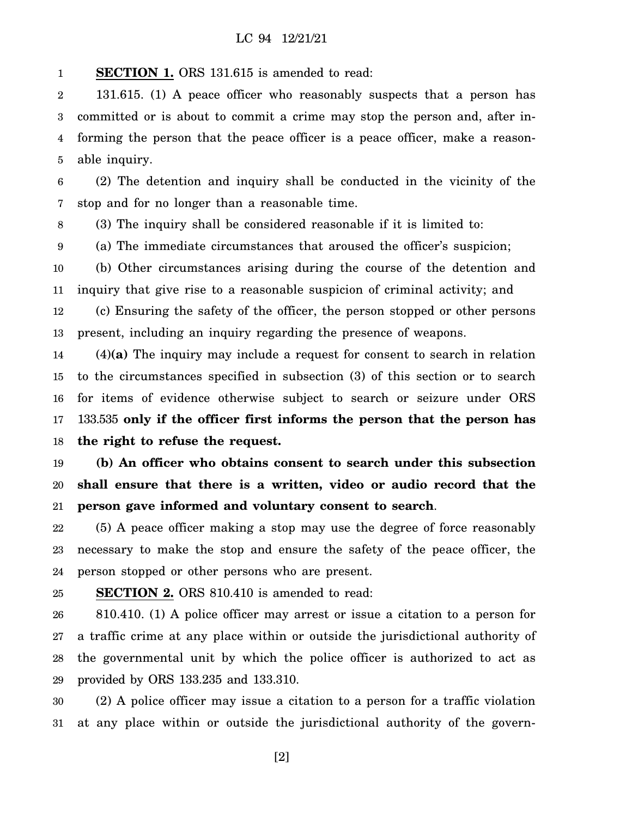1 **SECTION 1.** ORS 131.615 is amended to read:

2 3 4 5 131.615. (1) A peace officer who reasonably suspects that a person has committed or is about to commit a crime may stop the person and, after informing the person that the peace officer is a peace officer, make a reasonable inquiry.

6 7 (2) The detention and inquiry shall be conducted in the vicinity of the stop and for no longer than a reasonable time.

8 (3) The inquiry shall be considered reasonable if it is limited to:

9 (a) The immediate circumstances that aroused the officer's suspicion;

10 11 (b) Other circumstances arising during the course of the detention and inquiry that give rise to a reasonable suspicion of criminal activity; and

12 13 (c) Ensuring the safety of the officer, the person stopped or other persons present, including an inquiry regarding the presence of weapons.

14 15 16 17 18 (4)**(a)** The inquiry may include a request for consent to search in relation to the circumstances specified in subsection (3) of this section or to search for items of evidence otherwise subject to search or seizure under ORS 133.535 **only if the officer first informs the person that the person has the right to refuse the request.**

19 20 21 **(b) An officer who obtains consent to search under this subsection shall ensure that there is a written, video or audio record that the person gave informed and voluntary consent to search**.

22 23 24 (5) A peace officer making a stop may use the degree of force reasonably necessary to make the stop and ensure the safety of the peace officer, the person stopped or other persons who are present.

25 **SECTION 2.** ORS 810.410 is amended to read:

26 27 28 29 810.410. (1) A police officer may arrest or issue a citation to a person for a traffic crime at any place within or outside the jurisdictional authority of the governmental unit by which the police officer is authorized to act as provided by ORS 133.235 and 133.310.

30 31 (2) A police officer may issue a citation to a person for a traffic violation at any place within or outside the jurisdictional authority of the govern-

[2]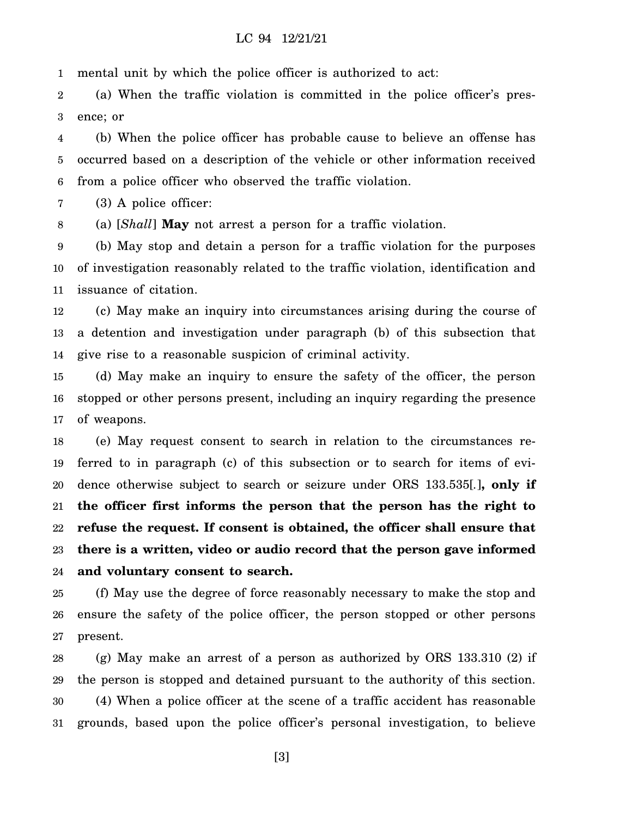1 mental unit by which the police officer is authorized to act:

2 3 (a) When the traffic violation is committed in the police officer's presence; or

4 5 6 (b) When the police officer has probable cause to believe an offense has occurred based on a description of the vehicle or other information received from a police officer who observed the traffic violation.

7 (3) A police officer:

8 (a) [*Shall*] **May** not arrest a person for a traffic violation.

9 10 11 (b) May stop and detain a person for a traffic violation for the purposes of investigation reasonably related to the traffic violation, identification and issuance of citation.

12 13 14 (c) May make an inquiry into circumstances arising during the course of a detention and investigation under paragraph (b) of this subsection that give rise to a reasonable suspicion of criminal activity.

15 16 17 (d) May make an inquiry to ensure the safety of the officer, the person stopped or other persons present, including an inquiry regarding the presence of weapons.

18 19 20 21 22 23 24 (e) May request consent to search in relation to the circumstances referred to in paragraph (c) of this subsection or to search for items of evidence otherwise subject to search or seizure under ORS 133.535[*.*]**, only if the officer first informs the person that the person has the right to refuse the request. If consent is obtained, the officer shall ensure that there is a written, video or audio record that the person gave informed and voluntary consent to search.**

25 26 27 (f) May use the degree of force reasonably necessary to make the stop and ensure the safety of the police officer, the person stopped or other persons present.

28 29 30 31 (g) May make an arrest of a person as authorized by ORS 133.310 (2) if the person is stopped and detained pursuant to the authority of this section. (4) When a police officer at the scene of a traffic accident has reasonable grounds, based upon the police officer's personal investigation, to believe

[3]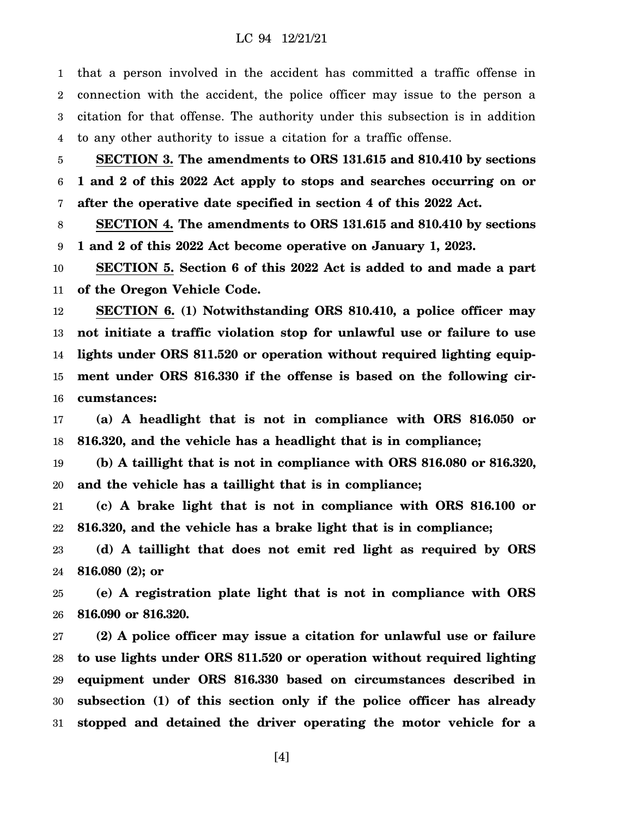1 2 3 4 that a person involved in the accident has committed a traffic offense in connection with the accident, the police officer may issue to the person a citation for that offense. The authority under this subsection is in addition to any other authority to issue a citation for a traffic offense.

5 6 7 **SECTION 3. The amendments to ORS 131.615 and 810.410 by sections 1 and 2 of this 2022 Act apply to stops and searches occurring on or after the operative date specified in section 4 of this 2022 Act.**

8 9 **SECTION 4. The amendments to ORS 131.615 and 810.410 by sections 1 and 2 of this 2022 Act become operative on January 1, 2023.**

10 11 **SECTION 5. Section 6 of this 2022 Act is added to and made a part of the Oregon Vehicle Code.**

12 13 14 15 16 **SECTION 6. (1) Notwithstanding ORS 810.410, a police officer may not initiate a traffic violation stop for unlawful use or failure to use lights under ORS 811.520 or operation without required lighting equipment under ORS 816.330 if the offense is based on the following circumstances:**

17 18 **(a) A headlight that is not in compliance with ORS 816.050 or 816.320, and the vehicle has a headlight that is in compliance;**

19 20 **(b) A taillight that is not in compliance with ORS 816.080 or 816.320, and the vehicle has a taillight that is in compliance;**

21 22 **(c) A brake light that is not in compliance with ORS 816.100 or 816.320, and the vehicle has a brake light that is in compliance;**

23 24 **(d) A taillight that does not emit red light as required by ORS 816.080 (2); or**

25 26 **(e) A registration plate light that is not in compliance with ORS 816.090 or 816.320.**

27 28 29 30 31 **(2) A police officer may issue a citation for unlawful use or failure to use lights under ORS 811.520 or operation without required lighting equipment under ORS 816.330 based on circumstances described in subsection (1) of this section only if the police officer has already stopped and detained the driver operating the motor vehicle for a**

[4]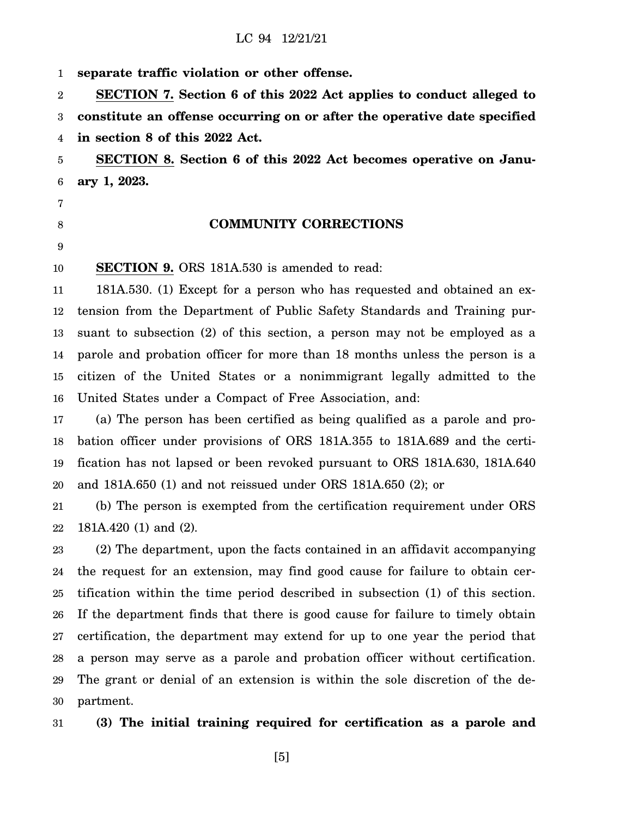1 **separate traffic violation or other offense.**

2 3 4 **SECTION 7. Section 6 of this 2022 Act applies to conduct alleged to constitute an offense occurring on or after the operative date specified in section 8 of this 2022 Act.**

5 6 **SECTION 8. Section 6 of this 2022 Act becomes operative on January 1, 2023.**

- 7
- 8

9

#### **COMMUNITY CORRECTIONS**

10 **SECTION 9.** ORS 181A.530 is amended to read:

11 12 13 14 15 16 181A.530. (1) Except for a person who has requested and obtained an extension from the Department of Public Safety Standards and Training pursuant to subsection (2) of this section, a person may not be employed as a parole and probation officer for more than 18 months unless the person is a citizen of the United States or a nonimmigrant legally admitted to the United States under a Compact of Free Association, and:

17 18 19 20 (a) The person has been certified as being qualified as a parole and probation officer under provisions of ORS 181A.355 to 181A.689 and the certification has not lapsed or been revoked pursuant to ORS 181A.630, 181A.640 and 181A.650 (1) and not reissued under ORS 181A.650 (2); or

21 22 (b) The person is exempted from the certification requirement under ORS 181A.420 (1) and (2).

23 24 25 26 27 28 29 30 (2) The department, upon the facts contained in an affidavit accompanying the request for an extension, may find good cause for failure to obtain certification within the time period described in subsection (1) of this section. If the department finds that there is good cause for failure to timely obtain certification, the department may extend for up to one year the period that a person may serve as a parole and probation officer without certification. The grant or denial of an extension is within the sole discretion of the department.

31 **(3) The initial training required for certification as a parole and**

[5]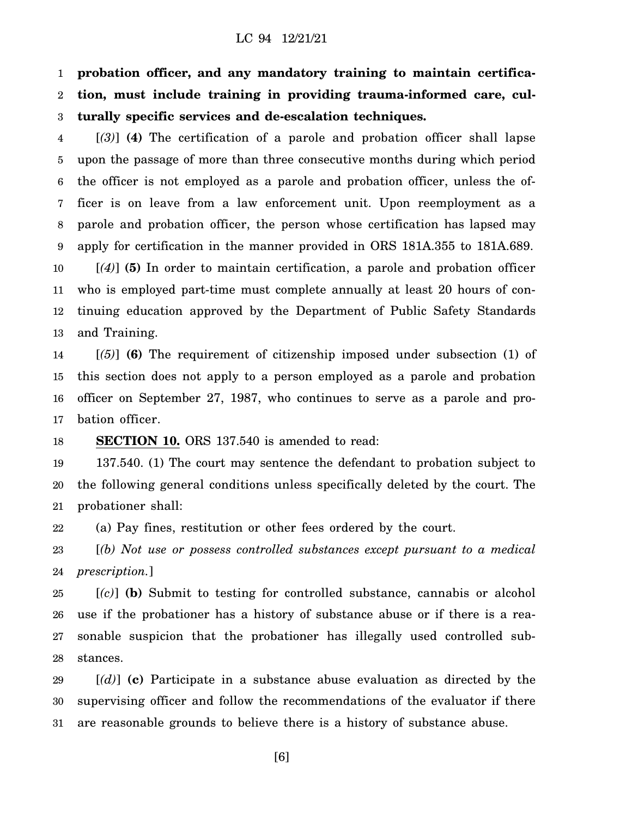1 2 3 **probation officer, and any mandatory training to maintain certification, must include training in providing trauma-informed care, culturally specific services and de-escalation techniques.**

4 5 6 7 8 9 10 [*(3)*] **(4)** The certification of a parole and probation officer shall lapse upon the passage of more than three consecutive months during which period the officer is not employed as a parole and probation officer, unless the officer is on leave from a law enforcement unit. Upon reemployment as a parole and probation officer, the person whose certification has lapsed may apply for certification in the manner provided in ORS 181A.355 to 181A.689. [*(4)*] **(5)** In order to maintain certification, a parole and probation officer

11 12 13 who is employed part-time must complete annually at least 20 hours of continuing education approved by the Department of Public Safety Standards and Training.

14 15 16 17 [*(5)*] **(6)** The requirement of citizenship imposed under subsection (1) of this section does not apply to a person employed as a parole and probation officer on September 27, 1987, who continues to serve as a parole and probation officer.

#### 18 **SECTION 10.** ORS 137.540 is amended to read:

19 20 21 137.540. (1) The court may sentence the defendant to probation subject to the following general conditions unless specifically deleted by the court. The probationer shall:

22 (a) Pay fines, restitution or other fees ordered by the court.

23 24 [*(b) Not use or possess controlled substances except pursuant to a medical prescription.*]

25 26 27 28 [*(c)*] **(b)** Submit to testing for controlled substance, cannabis or alcohol use if the probationer has a history of substance abuse or if there is a reasonable suspicion that the probationer has illegally used controlled substances.

29 30 31 [*(d)*] **(c)** Participate in a substance abuse evaluation as directed by the supervising officer and follow the recommendations of the evaluator if there are reasonable grounds to believe there is a history of substance abuse.

[6]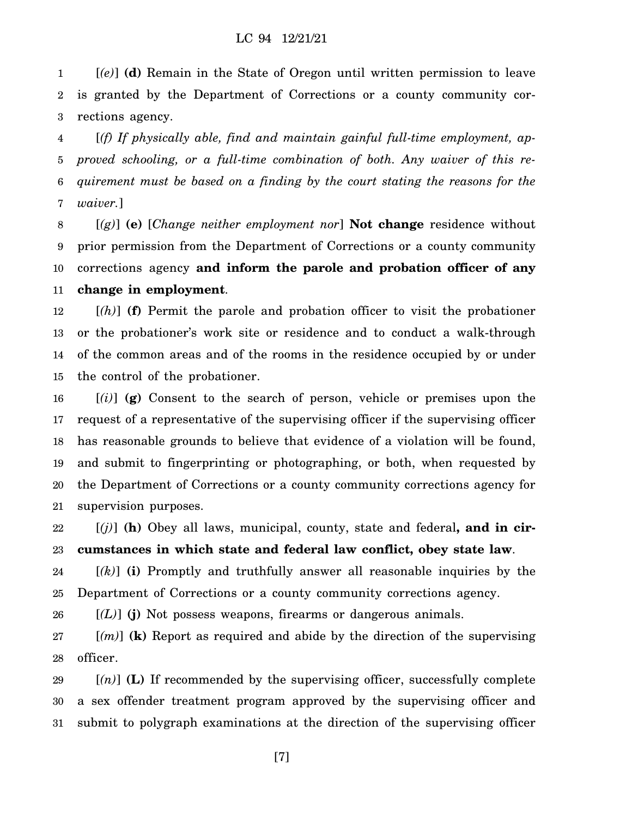1 2 3 [*(e)*] **(d)** Remain in the State of Oregon until written permission to leave is granted by the Department of Corrections or a county community corrections agency.

4 5 6 7 [*(f) If physically able, find and maintain gainful full-time employment, approved schooling, or a full-time combination of both. Any waiver of this requirement must be based on a finding by the court stating the reasons for the waiver.*]

8 9 10 11 [*(g)*] **(e)** [*Change neither employment nor*] **Not change** residence without prior permission from the Department of Corrections or a county community corrections agency **and inform the parole and probation officer of any change in employment**.

12 13 14 15 [*(h)*] **(f)** Permit the parole and probation officer to visit the probationer or the probationer's work site or residence and to conduct a walk-through of the common areas and of the rooms in the residence occupied by or under the control of the probationer.

16 17 18 19 20 21 [*(i)*] **(g)** Consent to the search of person, vehicle or premises upon the request of a representative of the supervising officer if the supervising officer has reasonable grounds to believe that evidence of a violation will be found, and submit to fingerprinting or photographing, or both, when requested by the Department of Corrections or a county community corrections agency for supervision purposes.

22 23 [*(j)*] **(h)** Obey all laws, municipal, county, state and federal**, and in circumstances in which state and federal law conflict, obey state law**.

24 25 [*(k)*] **(i)** Promptly and truthfully answer all reasonable inquiries by the Department of Corrections or a county community corrections agency.

26  $[(L)]$  (j) Not possess weapons, firearms or dangerous animals.

27 28 [*(m)*] **(k)** Report as required and abide by the direction of the supervising officer.

29 30 31 [*(n)*] **(L)** If recommended by the supervising officer, successfully complete a sex offender treatment program approved by the supervising officer and submit to polygraph examinations at the direction of the supervising officer

[7]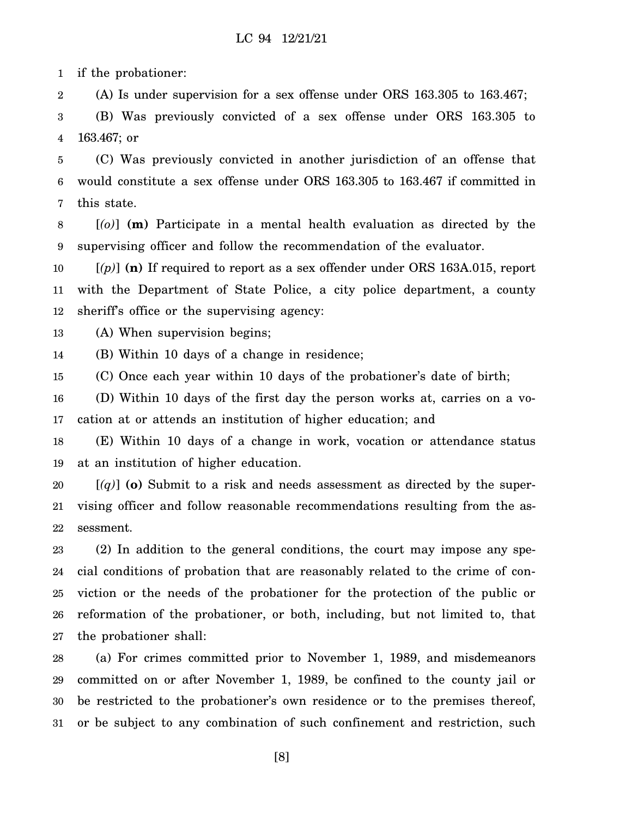1 if the probationer:

2 (A) Is under supervision for a sex offense under ORS 163.305 to 163.467;

3 4 (B) Was previously convicted of a sex offense under ORS 163.305 to 163.467; or

5 6 7 (C) Was previously convicted in another jurisdiction of an offense that would constitute a sex offense under ORS 163.305 to 163.467 if committed in this state.

8 9 [*(o)*] **(m)** Participate in a mental health evaluation as directed by the supervising officer and follow the recommendation of the evaluator.

10 11 12  $[(p)]$  (n) If required to report as a sex offender under ORS 163A.015, report with the Department of State Police, a city police department, a county sheriff's office or the supervising agency:

13 (A) When supervision begins;

14 (B) Within 10 days of a change in residence;

15 (C) Once each year within 10 days of the probationer's date of birth;

16 17 (D) Within 10 days of the first day the person works at, carries on a vocation at or attends an institution of higher education; and

18 19 (E) Within 10 days of a change in work, vocation or attendance status at an institution of higher education.

20 21 22  $[(q)]$  (o) Submit to a risk and needs assessment as directed by the supervising officer and follow reasonable recommendations resulting from the assessment.

23 24 25 26 27 (2) In addition to the general conditions, the court may impose any special conditions of probation that are reasonably related to the crime of conviction or the needs of the probationer for the protection of the public or reformation of the probationer, or both, including, but not limited to, that the probationer shall:

28 29 30 31 (a) For crimes committed prior to November 1, 1989, and misdemeanors committed on or after November 1, 1989, be confined to the county jail or be restricted to the probationer's own residence or to the premises thereof, or be subject to any combination of such confinement and restriction, such

[8]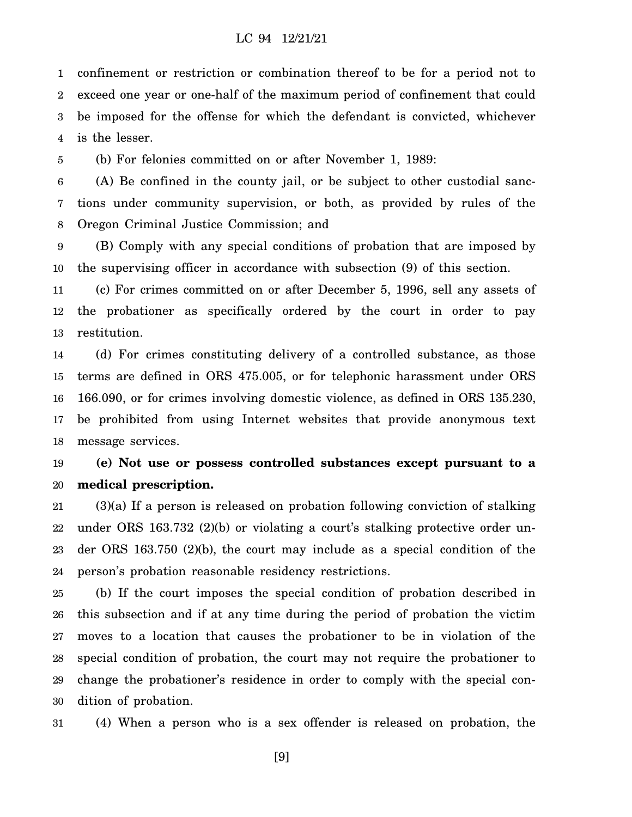1 2 3 4 confinement or restriction or combination thereof to be for a period not to exceed one year or one-half of the maximum period of confinement that could be imposed for the offense for which the defendant is convicted, whichever is the lesser.

5 (b) For felonies committed on or after November 1, 1989:

6 7 8 (A) Be confined in the county jail, or be subject to other custodial sanctions under community supervision, or both, as provided by rules of the Oregon Criminal Justice Commission; and

9 10 (B) Comply with any special conditions of probation that are imposed by the supervising officer in accordance with subsection (9) of this section.

11 12 13 (c) For crimes committed on or after December 5, 1996, sell any assets of the probationer as specifically ordered by the court in order to pay restitution.

14 15 16 17 18 (d) For crimes constituting delivery of a controlled substance, as those terms are defined in ORS 475.005, or for telephonic harassment under ORS 166.090, or for crimes involving domestic violence, as defined in ORS 135.230, be prohibited from using Internet websites that provide anonymous text message services.

#### 19 20 **(e) Not use or possess controlled substances except pursuant to a medical prescription.**

21 22 23 24 (3)(a) If a person is released on probation following conviction of stalking under ORS 163.732 (2)(b) or violating a court's stalking protective order under ORS 163.750 (2)(b), the court may include as a special condition of the person's probation reasonable residency restrictions.

25 26 27 28 29 30 (b) If the court imposes the special condition of probation described in this subsection and if at any time during the period of probation the victim moves to a location that causes the probationer to be in violation of the special condition of probation, the court may not require the probationer to change the probationer's residence in order to comply with the special condition of probation.

31 (4) When a person who is a sex offender is released on probation, the

[9]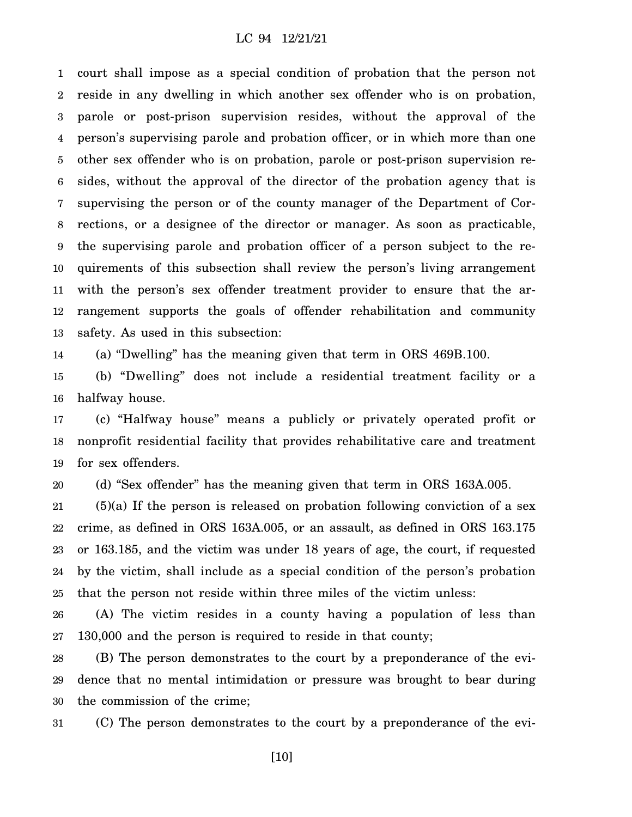1 2 3 4 5 6 7 8 9 10 11 12 13 court shall impose as a special condition of probation that the person not reside in any dwelling in which another sex offender who is on probation, parole or post-prison supervision resides, without the approval of the person's supervising parole and probation officer, or in which more than one other sex offender who is on probation, parole or post-prison supervision resides, without the approval of the director of the probation agency that is supervising the person or of the county manager of the Department of Corrections, or a designee of the director or manager. As soon as practicable, the supervising parole and probation officer of a person subject to the requirements of this subsection shall review the person's living arrangement with the person's sex offender treatment provider to ensure that the arrangement supports the goals of offender rehabilitation and community safety. As used in this subsection:

14 (a) "Dwelling" has the meaning given that term in ORS 469B.100.

15 16 (b) "Dwelling" does not include a residential treatment facility or a halfway house.

17 18 19 (c) "Halfway house" means a publicly or privately operated profit or nonprofit residential facility that provides rehabilitative care and treatment for sex offenders.

20 (d) "Sex offender" has the meaning given that term in ORS 163A.005.

21 22 23 24 25  $(5)(a)$  If the person is released on probation following conviction of a sex crime, as defined in ORS 163A.005, or an assault, as defined in ORS 163.175 or 163.185, and the victim was under 18 years of age, the court, if requested by the victim, shall include as a special condition of the person's probation that the person not reside within three miles of the victim unless:

26 27 (A) The victim resides in a county having a population of less than 130,000 and the person is required to reside in that county;

28 29 30 (B) The person demonstrates to the court by a preponderance of the evidence that no mental intimidation or pressure was brought to bear during the commission of the crime;

31 (C) The person demonstrates to the court by a preponderance of the evi-

[10]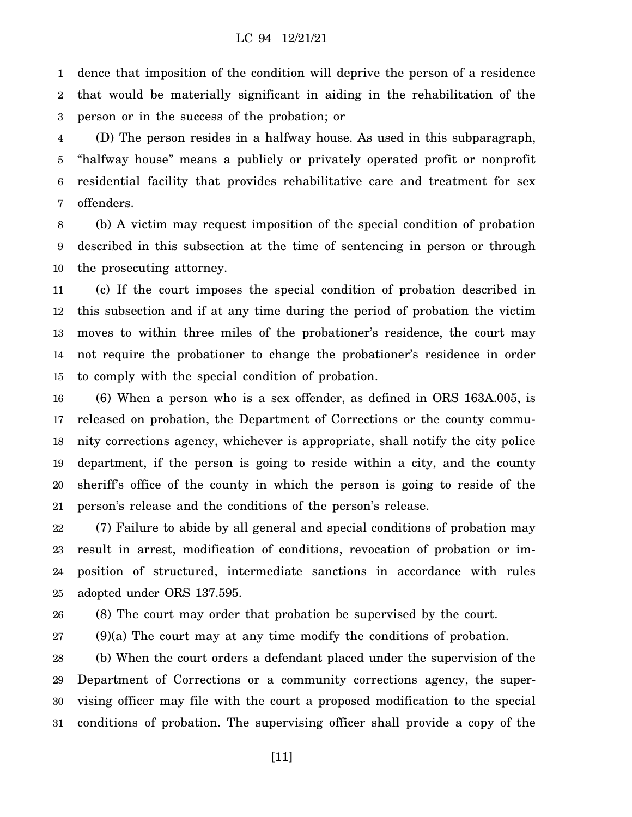1 2 3 dence that imposition of the condition will deprive the person of a residence that would be materially significant in aiding in the rehabilitation of the person or in the success of the probation; or

4 5 6 7 (D) The person resides in a halfway house. As used in this subparagraph, "halfway house" means a publicly or privately operated profit or nonprofit residential facility that provides rehabilitative care and treatment for sex offenders.

8 9 10 (b) A victim may request imposition of the special condition of probation described in this subsection at the time of sentencing in person or through the prosecuting attorney.

11 12 13 14 15 (c) If the court imposes the special condition of probation described in this subsection and if at any time during the period of probation the victim moves to within three miles of the probationer's residence, the court may not require the probationer to change the probationer's residence in order to comply with the special condition of probation.

16 17 18 19 20 21 (6) When a person who is a sex offender, as defined in ORS 163A.005, is released on probation, the Department of Corrections or the county community corrections agency, whichever is appropriate, shall notify the city police department, if the person is going to reside within a city, and the county sheriff's office of the county in which the person is going to reside of the person's release and the conditions of the person's release.

22 23 24 25 (7) Failure to abide by all general and special conditions of probation may result in arrest, modification of conditions, revocation of probation or imposition of structured, intermediate sanctions in accordance with rules adopted under ORS 137.595.

26 (8) The court may order that probation be supervised by the court.

27 (9)(a) The court may at any time modify the conditions of probation.

28 29 30 31 (b) When the court orders a defendant placed under the supervision of the Department of Corrections or a community corrections agency, the supervising officer may file with the court a proposed modification to the special conditions of probation. The supervising officer shall provide a copy of the

[11]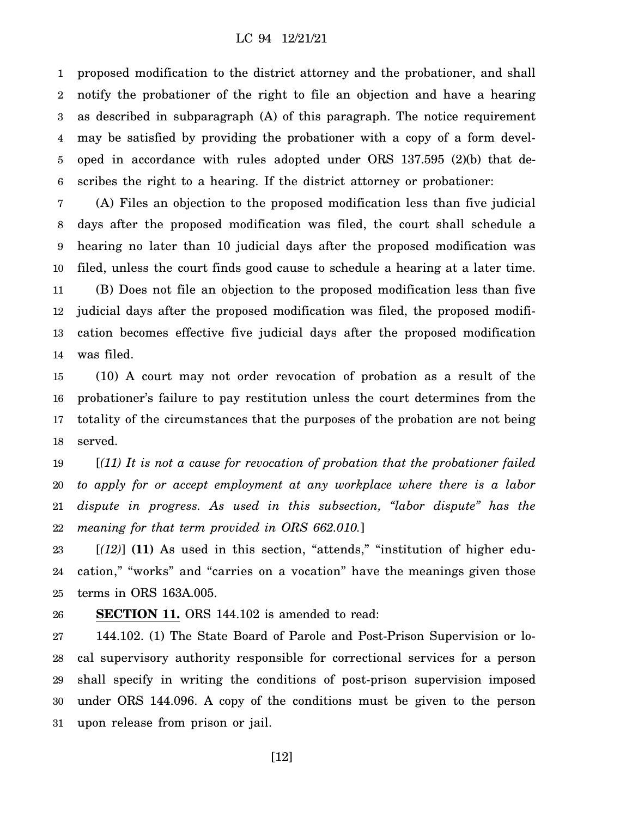1 2 3 4 5 6 proposed modification to the district attorney and the probationer, and shall notify the probationer of the right to file an objection and have a hearing as described in subparagraph (A) of this paragraph. The notice requirement may be satisfied by providing the probationer with a copy of a form developed in accordance with rules adopted under ORS 137.595 (2)(b) that describes the right to a hearing. If the district attorney or probationer:

7 8 9 10 11 12 13 14 (A) Files an objection to the proposed modification less than five judicial days after the proposed modification was filed, the court shall schedule a hearing no later than 10 judicial days after the proposed modification was filed, unless the court finds good cause to schedule a hearing at a later time. (B) Does not file an objection to the proposed modification less than five judicial days after the proposed modification was filed, the proposed modification becomes effective five judicial days after the proposed modification was filed.

15 16 17 18 (10) A court may not order revocation of probation as a result of the probationer's failure to pay restitution unless the court determines from the totality of the circumstances that the purposes of the probation are not being served.

19 20 21 22 [*(11) It is not a cause for revocation of probation that the probationer failed to apply for or accept employment at any workplace where there is a labor dispute in progress. As used in this subsection, "labor dispute" has the meaning for that term provided in ORS 662.010.*]

23 24 25 [*(12)*] **(11)** As used in this section, "attends," "institution of higher education," "works" and "carries on a vocation" have the meanings given those terms in ORS 163A.005.

#### 26 **SECTION 11.** ORS 144.102 is amended to read:

27 28 29 30 31 144.102. (1) The State Board of Parole and Post-Prison Supervision or local supervisory authority responsible for correctional services for a person shall specify in writing the conditions of post-prison supervision imposed under ORS 144.096. A copy of the conditions must be given to the person upon release from prison or jail.

[12]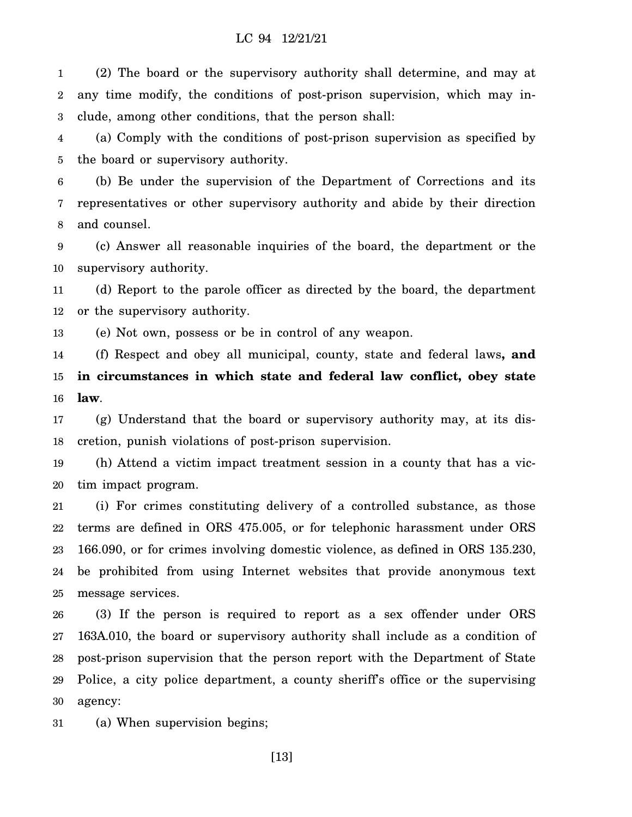1 2 3 (2) The board or the supervisory authority shall determine, and may at any time modify, the conditions of post-prison supervision, which may include, among other conditions, that the person shall:

4 5 (a) Comply with the conditions of post-prison supervision as specified by the board or supervisory authority.

6 7 8 (b) Be under the supervision of the Department of Corrections and its representatives or other supervisory authority and abide by their direction and counsel.

9 10 (c) Answer all reasonable inquiries of the board, the department or the supervisory authority.

11 12 (d) Report to the parole officer as directed by the board, the department or the supervisory authority.

13 (e) Not own, possess or be in control of any weapon.

14 15 16 (f) Respect and obey all municipal, county, state and federal laws**, and in circumstances in which state and federal law conflict, obey state law**.

17 18 (g) Understand that the board or supervisory authority may, at its discretion, punish violations of post-prison supervision.

19 20 (h) Attend a victim impact treatment session in a county that has a victim impact program.

21 22 23 24 25 (i) For crimes constituting delivery of a controlled substance, as those terms are defined in ORS 475.005, or for telephonic harassment under ORS 166.090, or for crimes involving domestic violence, as defined in ORS 135.230, be prohibited from using Internet websites that provide anonymous text message services.

26 27 28 29 30 (3) If the person is required to report as a sex offender under ORS 163A.010, the board or supervisory authority shall include as a condition of post-prison supervision that the person report with the Department of State Police, a city police department, a county sheriff's office or the supervising agency:

31 (a) When supervision begins;

[13]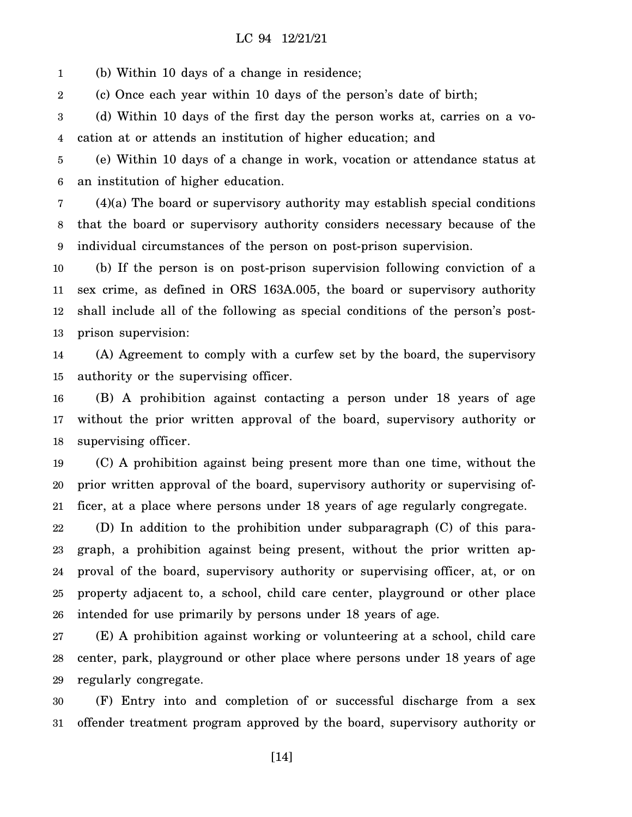1 (b) Within 10 days of a change in residence;

2 (c) Once each year within 10 days of the person's date of birth;

3 4 (d) Within 10 days of the first day the person works at, carries on a vocation at or attends an institution of higher education; and

5 6 (e) Within 10 days of a change in work, vocation or attendance status at an institution of higher education.

7 8 9 (4)(a) The board or supervisory authority may establish special conditions that the board or supervisory authority considers necessary because of the individual circumstances of the person on post-prison supervision.

10 11 12 13 (b) If the person is on post-prison supervision following conviction of a sex crime, as defined in ORS 163A.005, the board or supervisory authority shall include all of the following as special conditions of the person's postprison supervision:

14 15 (A) Agreement to comply with a curfew set by the board, the supervisory authority or the supervising officer.

16 17 18 (B) A prohibition against contacting a person under 18 years of age without the prior written approval of the board, supervisory authority or supervising officer.

19 20 21 (C) A prohibition against being present more than one time, without the prior written approval of the board, supervisory authority or supervising officer, at a place where persons under 18 years of age regularly congregate.

22 23 24 25 26 (D) In addition to the prohibition under subparagraph (C) of this paragraph, a prohibition against being present, without the prior written approval of the board, supervisory authority or supervising officer, at, or on property adjacent to, a school, child care center, playground or other place intended for use primarily by persons under 18 years of age.

27 28 29 (E) A prohibition against working or volunteering at a school, child care center, park, playground or other place where persons under 18 years of age regularly congregate.

30 31 (F) Entry into and completion of or successful discharge from a sex offender treatment program approved by the board, supervisory authority or

[14]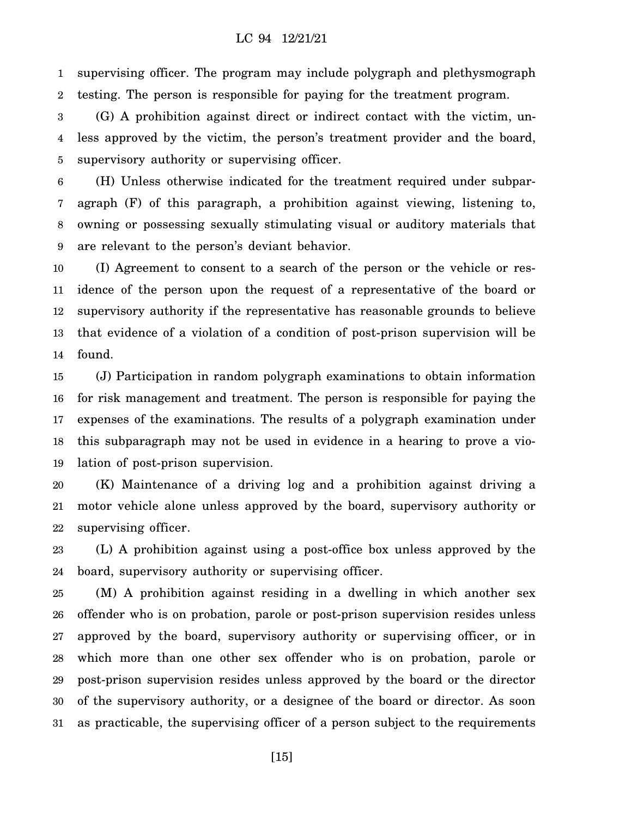1 2 supervising officer. The program may include polygraph and plethysmograph testing. The person is responsible for paying for the treatment program.

3 4 5 (G) A prohibition against direct or indirect contact with the victim, unless approved by the victim, the person's treatment provider and the board, supervisory authority or supervising officer.

6 7 8 9 (H) Unless otherwise indicated for the treatment required under subparagraph (F) of this paragraph, a prohibition against viewing, listening to, owning or possessing sexually stimulating visual or auditory materials that are relevant to the person's deviant behavior.

10 11 12 13 14 (I) Agreement to consent to a search of the person or the vehicle or residence of the person upon the request of a representative of the board or supervisory authority if the representative has reasonable grounds to believe that evidence of a violation of a condition of post-prison supervision will be found.

15 16 17 18 19 (J) Participation in random polygraph examinations to obtain information for risk management and treatment. The person is responsible for paying the expenses of the examinations. The results of a polygraph examination under this subparagraph may not be used in evidence in a hearing to prove a violation of post-prison supervision.

20 21 22 (K) Maintenance of a driving log and a prohibition against driving a motor vehicle alone unless approved by the board, supervisory authority or supervising officer.

23 24 (L) A prohibition against using a post-office box unless approved by the board, supervisory authority or supervising officer.

25 26 27 28 29 30 31 (M) A prohibition against residing in a dwelling in which another sex offender who is on probation, parole or post-prison supervision resides unless approved by the board, supervisory authority or supervising officer, or in which more than one other sex offender who is on probation, parole or post-prison supervision resides unless approved by the board or the director of the supervisory authority, or a designee of the board or director. As soon as practicable, the supervising officer of a person subject to the requirements

[15]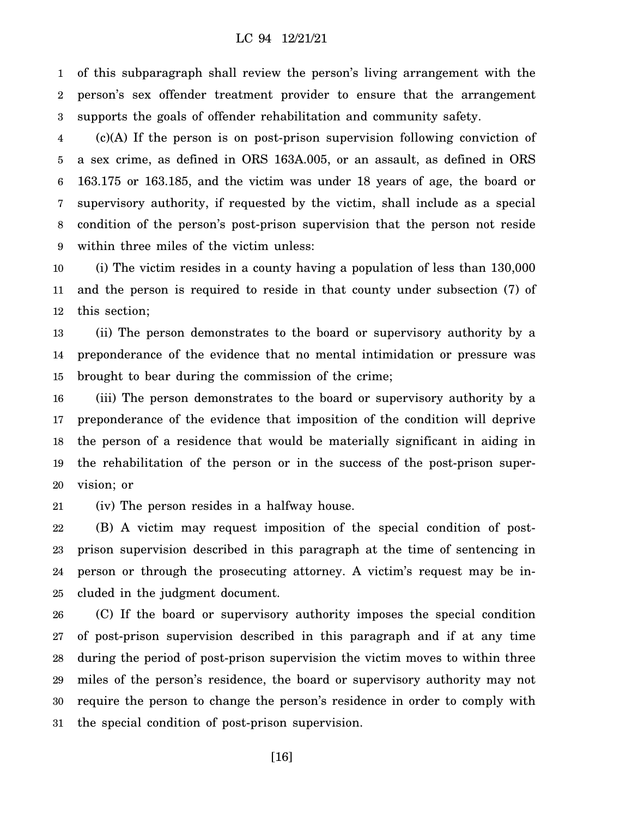1 2 3 of this subparagraph shall review the person's living arrangement with the person's sex offender treatment provider to ensure that the arrangement supports the goals of offender rehabilitation and community safety.

4 5 6 7 8 9 (c)(A) If the person is on post-prison supervision following conviction of a sex crime, as defined in ORS 163A.005, or an assault, as defined in ORS 163.175 or 163.185, and the victim was under 18 years of age, the board or supervisory authority, if requested by the victim, shall include as a special condition of the person's post-prison supervision that the person not reside within three miles of the victim unless:

10 11 12 (i) The victim resides in a county having a population of less than 130,000 and the person is required to reside in that county under subsection (7) of this section;

13 14 15 (ii) The person demonstrates to the board or supervisory authority by a preponderance of the evidence that no mental intimidation or pressure was brought to bear during the commission of the crime;

16 17 18 19 20 (iii) The person demonstrates to the board or supervisory authority by a preponderance of the evidence that imposition of the condition will deprive the person of a residence that would be materially significant in aiding in the rehabilitation of the person or in the success of the post-prison supervision; or

21 (iv) The person resides in a halfway house.

22 23 24 25 (B) A victim may request imposition of the special condition of postprison supervision described in this paragraph at the time of sentencing in person or through the prosecuting attorney. A victim's request may be included in the judgment document.

26 27 28 29 30 31 (C) If the board or supervisory authority imposes the special condition of post-prison supervision described in this paragraph and if at any time during the period of post-prison supervision the victim moves to within three miles of the person's residence, the board or supervisory authority may not require the person to change the person's residence in order to comply with the special condition of post-prison supervision.

[16]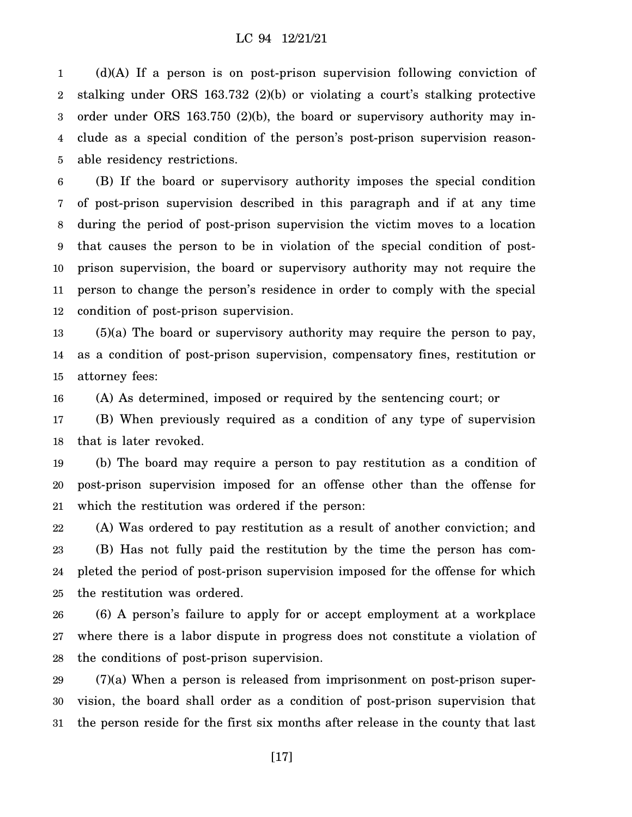1 2 3 4 5 (d)(A) If a person is on post-prison supervision following conviction of stalking under ORS 163.732 (2)(b) or violating a court's stalking protective order under ORS 163.750 (2)(b), the board or supervisory authority may include as a special condition of the person's post-prison supervision reasonable residency restrictions.

6 7 8 9 10 11 12 (B) If the board or supervisory authority imposes the special condition of post-prison supervision described in this paragraph and if at any time during the period of post-prison supervision the victim moves to a location that causes the person to be in violation of the special condition of postprison supervision, the board or supervisory authority may not require the person to change the person's residence in order to comply with the special condition of post-prison supervision.

13 14 15 (5)(a) The board or supervisory authority may require the person to pay, as a condition of post-prison supervision, compensatory fines, restitution or attorney fees:

16 (A) As determined, imposed or required by the sentencing court; or

17 18 (B) When previously required as a condition of any type of supervision that is later revoked.

19 20 21 (b) The board may require a person to pay restitution as a condition of post-prison supervision imposed for an offense other than the offense for which the restitution was ordered if the person:

22 23 24 25 (A) Was ordered to pay restitution as a result of another conviction; and (B) Has not fully paid the restitution by the time the person has completed the period of post-prison supervision imposed for the offense for which the restitution was ordered.

26 27 28 (6) A person's failure to apply for or accept employment at a workplace where there is a labor dispute in progress does not constitute a violation of the conditions of post-prison supervision.

29 30 31 (7)(a) When a person is released from imprisonment on post-prison supervision, the board shall order as a condition of post-prison supervision that the person reside for the first six months after release in the county that last

[17]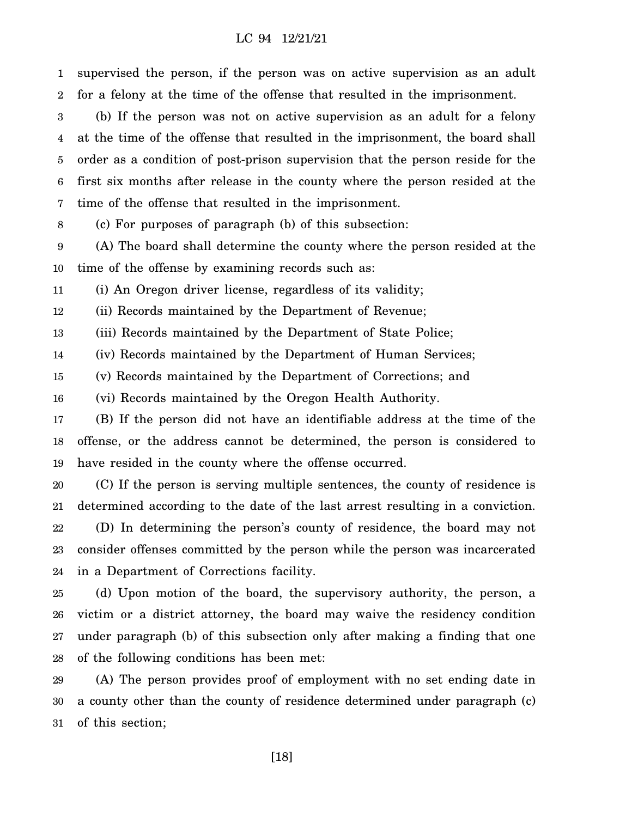1 2 3 supervised the person, if the person was on active supervision as an adult for a felony at the time of the offense that resulted in the imprisonment. (b) If the person was not on active supervision as an adult for a felony

4 5 6 7 at the time of the offense that resulted in the imprisonment, the board shall order as a condition of post-prison supervision that the person reside for the first six months after release in the county where the person resided at the time of the offense that resulted in the imprisonment.

8 (c) For purposes of paragraph (b) of this subsection:

9 10 (A) The board shall determine the county where the person resided at the time of the offense by examining records such as:

11 (i) An Oregon driver license, regardless of its validity;

12 (ii) Records maintained by the Department of Revenue;

13 (iii) Records maintained by the Department of State Police;

14 (iv) Records maintained by the Department of Human Services;

15 (v) Records maintained by the Department of Corrections; and

16 (vi) Records maintained by the Oregon Health Authority.

17 18 19 (B) If the person did not have an identifiable address at the time of the offense, or the address cannot be determined, the person is considered to have resided in the county where the offense occurred.

20 21 22 23 24 (C) If the person is serving multiple sentences, the county of residence is determined according to the date of the last arrest resulting in a conviction. (D) In determining the person's county of residence, the board may not consider offenses committed by the person while the person was incarcerated in a Department of Corrections facility.

25 26 27 28 (d) Upon motion of the board, the supervisory authority, the person, a victim or a district attorney, the board may waive the residency condition under paragraph (b) of this subsection only after making a finding that one of the following conditions has been met:

29 30 31 (A) The person provides proof of employment with no set ending date in a county other than the county of residence determined under paragraph (c) of this section;

[18]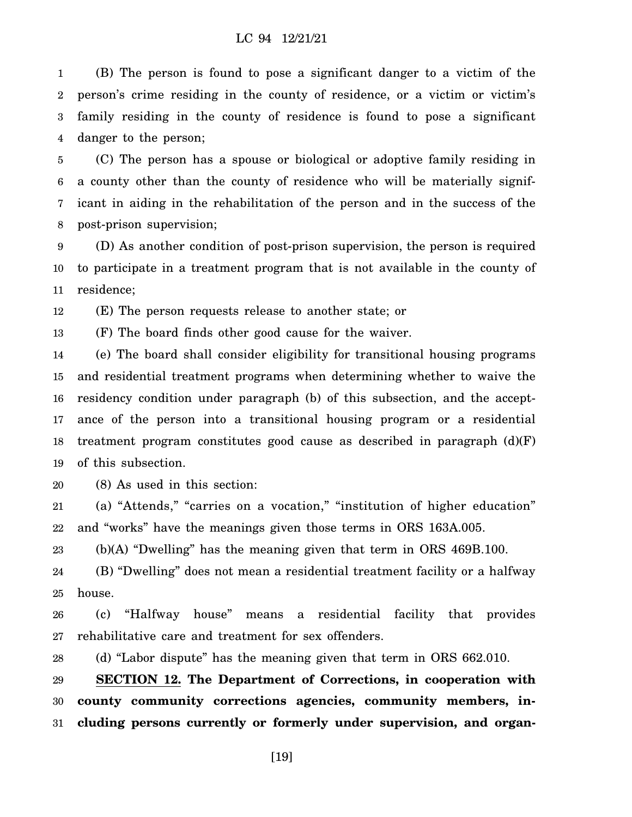1 2 3 4 (B) The person is found to pose a significant danger to a victim of the person's crime residing in the county of residence, or a victim or victim's family residing in the county of residence is found to pose a significant danger to the person;

5 6 7 8 (C) The person has a spouse or biological or adoptive family residing in a county other than the county of residence who will be materially significant in aiding in the rehabilitation of the person and in the success of the post-prison supervision;

9 10 11 (D) As another condition of post-prison supervision, the person is required to participate in a treatment program that is not available in the county of residence;

12 (E) The person requests release to another state; or

13 (F) The board finds other good cause for the waiver.

14 15 16 17 18 19 (e) The board shall consider eligibility for transitional housing programs and residential treatment programs when determining whether to waive the residency condition under paragraph (b) of this subsection, and the acceptance of the person into a transitional housing program or a residential treatment program constitutes good cause as described in paragraph (d)(F) of this subsection.

20 (8) As used in this section:

21 22 (a) "Attends," "carries on a vocation," "institution of higher education" and "works" have the meanings given those terms in ORS 163A.005.

23 (b)(A) "Dwelling" has the meaning given that term in ORS 469B.100.

24 25 (B) "Dwelling" does not mean a residential treatment facility or a halfway house.

26 27 (c) "Halfway house" means a residential facility that provides rehabilitative care and treatment for sex offenders.

28 (d) "Labor dispute" has the meaning given that term in ORS 662.010.

29 30 31 **SECTION 12. The Department of Corrections, in cooperation with county community corrections agencies, community members, including persons currently or formerly under supervision, and organ-**

[19]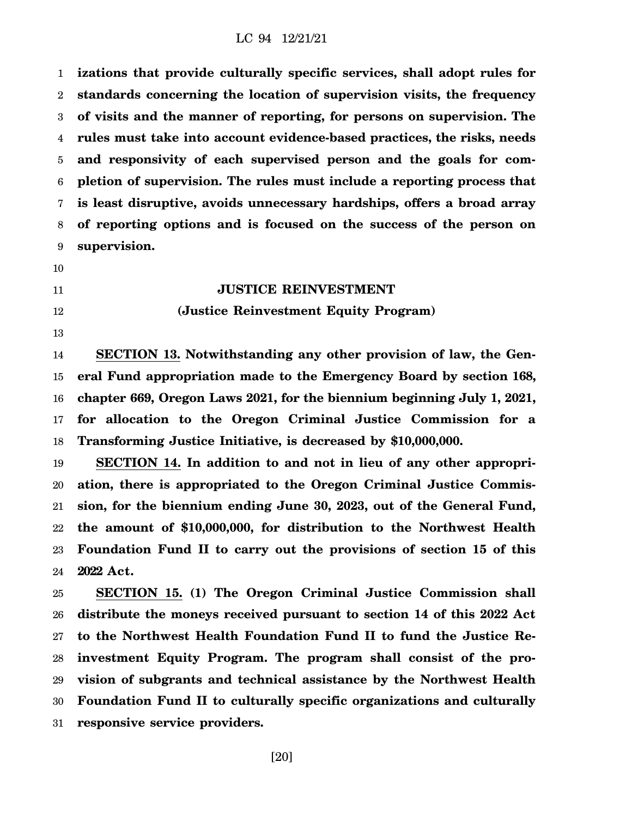1 2 3 4 5 6 7 8 9 **izations that provide culturally specific services, shall adopt rules for standards concerning the location of supervision visits, the frequency of visits and the manner of reporting, for persons on supervision. The rules must take into account evidence-based practices, the risks, needs and responsivity of each supervised person and the goals for completion of supervision. The rules must include a reporting process that is least disruptive, avoids unnecessary hardships, offers a broad array of reporting options and is focused on the success of the person on supervision.**

- 10
- 11

12

13

## **JUSTICE REINVESTMENT**

#### **(Justice Reinvestment Equity Program)**

14 15 16 17 18 **SECTION 13. Notwithstanding any other provision of law, the General Fund appropriation made to the Emergency Board by section 168, chapter 669, Oregon Laws 2021, for the biennium beginning July 1, 2021, for allocation to the Oregon Criminal Justice Commission for a Transforming Justice Initiative, is decreased by \$10,000,000.**

19 20 21 22 23 24 **SECTION 14. In addition to and not in lieu of any other appropriation, there is appropriated to the Oregon Criminal Justice Commission, for the biennium ending June 30, 2023, out of the General Fund, the amount of \$10,000,000, for distribution to the Northwest Health Foundation Fund II to carry out the provisions of section 15 of this 2022 Act.**

25 26 27 28 29 30 31 **SECTION 15. (1) The Oregon Criminal Justice Commission shall distribute the moneys received pursuant to section 14 of this 2022 Act to the Northwest Health Foundation Fund II to fund the Justice Reinvestment Equity Program. The program shall consist of the provision of subgrants and technical assistance by the Northwest Health Foundation Fund II to culturally specific organizations and culturally responsive service providers.**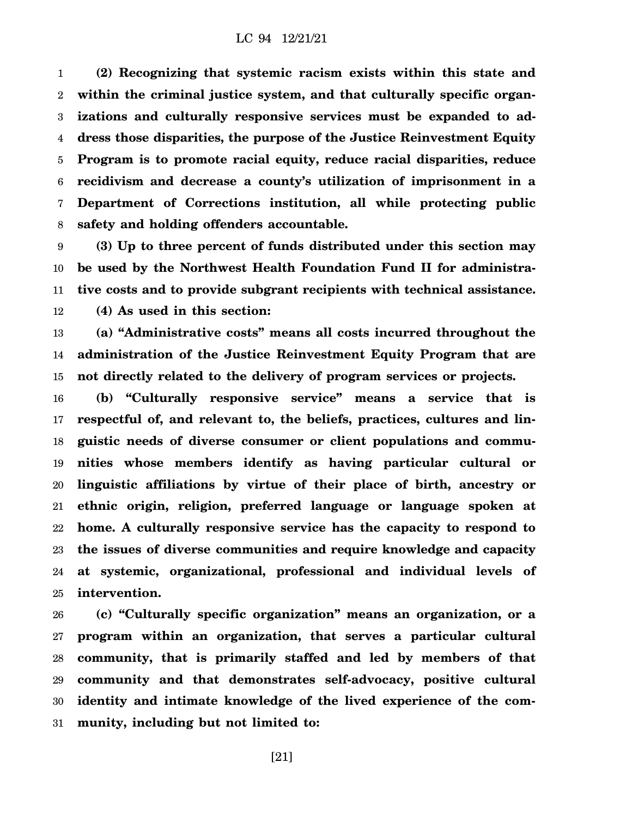1 2 3 4 5 6 7 8 **(2) Recognizing that systemic racism exists within this state and within the criminal justice system, and that culturally specific organizations and culturally responsive services must be expanded to address those disparities, the purpose of the Justice Reinvestment Equity Program is to promote racial equity, reduce racial disparities, reduce recidivism and decrease a county's utilization of imprisonment in a Department of Corrections institution, all while protecting public safety and holding offenders accountable.**

9 10 11 12 **(3) Up to three percent of funds distributed under this section may be used by the Northwest Health Foundation Fund II for administrative costs and to provide subgrant recipients with technical assistance. (4) As used in this section:**

13 14 15 **(a) "Administrative costs" means all costs incurred throughout the administration of the Justice Reinvestment Equity Program that are not directly related to the delivery of program services or projects.**

16 17 18 19 20 21 22 23 24 25 **(b) "Culturally responsive service" means a service that is respectful of, and relevant to, the beliefs, practices, cultures and linguistic needs of diverse consumer or client populations and communities whose members identify as having particular cultural or linguistic affiliations by virtue of their place of birth, ancestry or ethnic origin, religion, preferred language or language spoken at home. A culturally responsive service has the capacity to respond to the issues of diverse communities and require knowledge and capacity at systemic, organizational, professional and individual levels of intervention.**

26 27 28 29 30 31 **(c) "Culturally specific organization" means an organization, or a program within an organization, that serves a particular cultural community, that is primarily staffed and led by members of that community and that demonstrates self-advocacy, positive cultural identity and intimate knowledge of the lived experience of the community, including but not limited to:**

[21]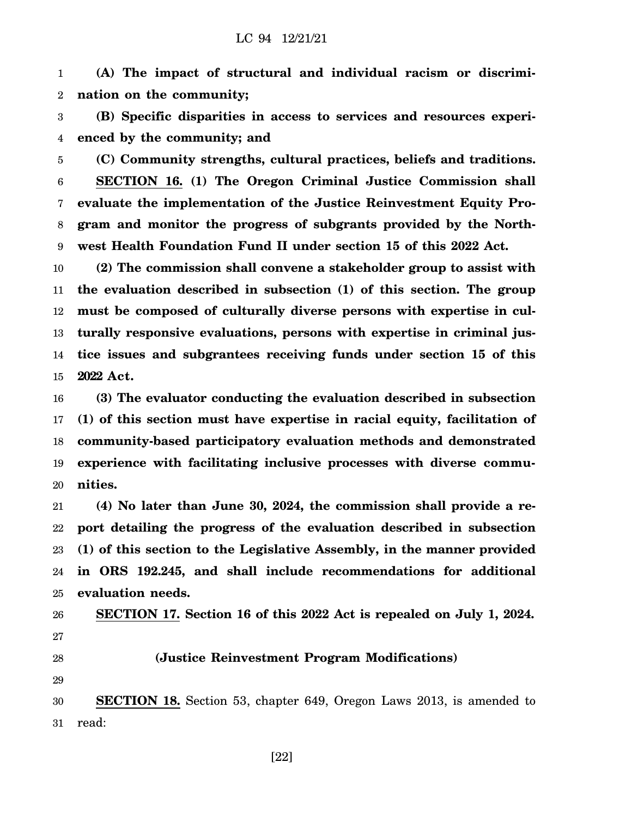1 2 **(A) The impact of structural and individual racism or discrimination on the community;**

3 4 **(B) Specific disparities in access to services and resources experienced by the community; and**

5 6 7 8 9 **(C) Community strengths, cultural practices, beliefs and traditions. SECTION 16. (1) The Oregon Criminal Justice Commission shall evaluate the implementation of the Justice Reinvestment Equity Program and monitor the progress of subgrants provided by the Northwest Health Foundation Fund II under section 15 of this 2022 Act.**

10 11 12 13 14 15 **(2) The commission shall convene a stakeholder group to assist with the evaluation described in subsection (1) of this section. The group must be composed of culturally diverse persons with expertise in culturally responsive evaluations, persons with expertise in criminal justice issues and subgrantees receiving funds under section 15 of this 2022 Act.**

16 17 18 19 20 **(3) The evaluator conducting the evaluation described in subsection (1) of this section must have expertise in racial equity, facilitation of community-based participatory evaluation methods and demonstrated experience with facilitating inclusive processes with diverse communities.**

21 22 23 24 25 **(4) No later than June 30, 2024, the commission shall provide a report detailing the progress of the evaluation described in subsection (1) of this section to the Legislative Assembly, in the manner provided in ORS 192.245, and shall include recommendations for additional evaluation needs.**

26 27

28

**(Justice Reinvestment Program Modifications)**

**SECTION 17. Section 16 of this 2022 Act is repealed on July 1, 2024.**

29

30 31 **SECTION 18.** Section 53, chapter 649, Oregon Laws 2013, is amended to read:

[22]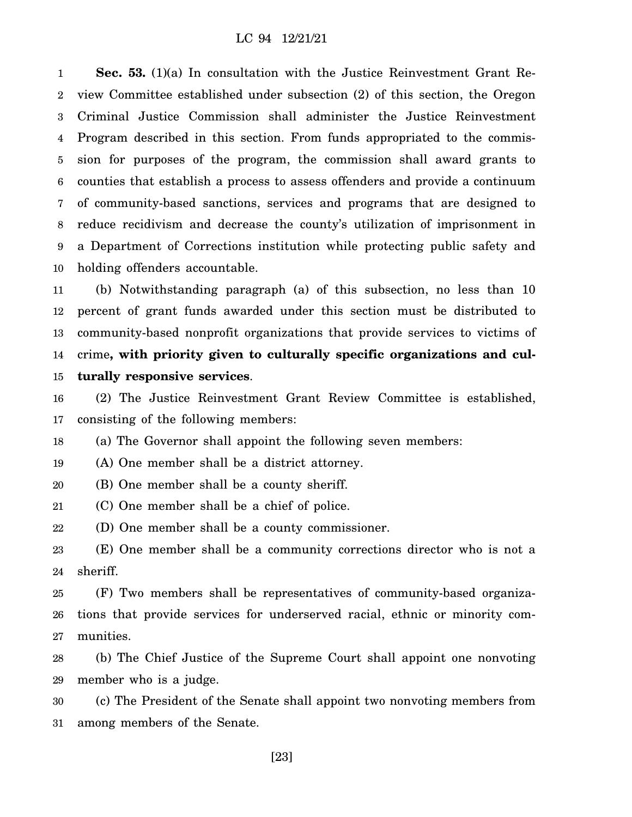1 2 3 4 5 6 7 8 9 10 **Sec. 53.** (1)(a) In consultation with the Justice Reinvestment Grant Review Committee established under subsection (2) of this section, the Oregon Criminal Justice Commission shall administer the Justice Reinvestment Program described in this section. From funds appropriated to the commission for purposes of the program, the commission shall award grants to counties that establish a process to assess offenders and provide a continuum of community-based sanctions, services and programs that are designed to reduce recidivism and decrease the county's utilization of imprisonment in a Department of Corrections institution while protecting public safety and holding offenders accountable.

11 12 13 14 15 (b) Notwithstanding paragraph (a) of this subsection, no less than 10 percent of grant funds awarded under this section must be distributed to community-based nonprofit organizations that provide services to victims of crime**, with priority given to culturally specific organizations and culturally responsive services**.

16 17 (2) The Justice Reinvestment Grant Review Committee is established, consisting of the following members:

18 (a) The Governor shall appoint the following seven members:

19 (A) One member shall be a district attorney.

20 (B) One member shall be a county sheriff.

21 (C) One member shall be a chief of police.

22 (D) One member shall be a county commissioner.

23 24 (E) One member shall be a community corrections director who is not a sheriff.

25 26 27 (F) Two members shall be representatives of community-based organizations that provide services for underserved racial, ethnic or minority communities.

28 29 (b) The Chief Justice of the Supreme Court shall appoint one nonvoting member who is a judge.

30 31 (c) The President of the Senate shall appoint two nonvoting members from among members of the Senate.

[23]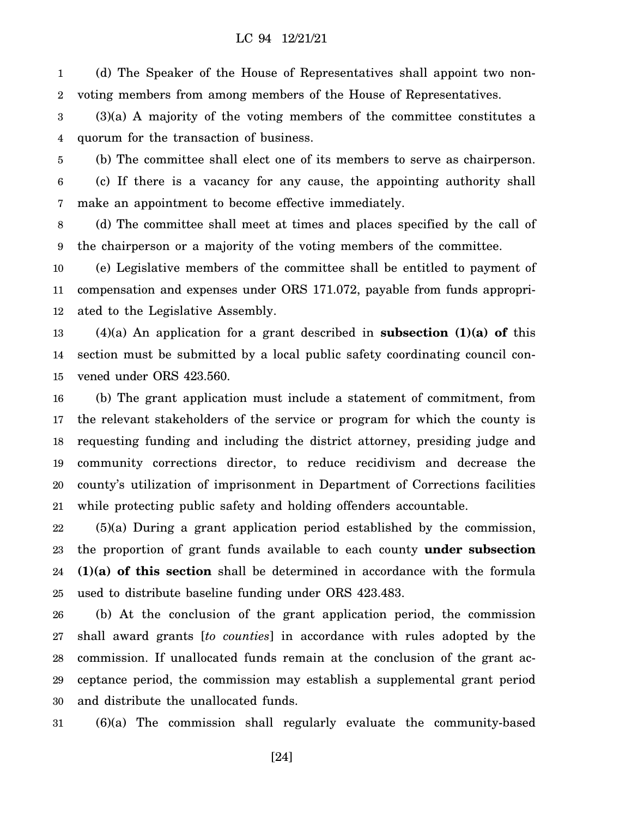1 2 (d) The Speaker of the House of Representatives shall appoint two nonvoting members from among members of the House of Representatives.

3 4 (3)(a) A majority of the voting members of the committee constitutes a quorum for the transaction of business.

5 6 7 (b) The committee shall elect one of its members to serve as chairperson. (c) If there is a vacancy for any cause, the appointing authority shall make an appointment to become effective immediately.

8 9 (d) The committee shall meet at times and places specified by the call of the chairperson or a majority of the voting members of the committee.

10 11 12 (e) Legislative members of the committee shall be entitled to payment of compensation and expenses under ORS 171.072, payable from funds appropriated to the Legislative Assembly.

13 14 15 (4)(a) An application for a grant described in **subsection (1)(a) of** this section must be submitted by a local public safety coordinating council convened under ORS 423.560.

16 17 18 19 20 21 (b) The grant application must include a statement of commitment, from the relevant stakeholders of the service or program for which the county is requesting funding and including the district attorney, presiding judge and community corrections director, to reduce recidivism and decrease the county's utilization of imprisonment in Department of Corrections facilities while protecting public safety and holding offenders accountable.

22 23 24 25 (5)(a) During a grant application period established by the commission, the proportion of grant funds available to each county **under subsection (1)(a) of this section** shall be determined in accordance with the formula used to distribute baseline funding under ORS 423.483.

26 27 28 29 30 (b) At the conclusion of the grant application period, the commission shall award grants [*to counties*] in accordance with rules adopted by the commission. If unallocated funds remain at the conclusion of the grant acceptance period, the commission may establish a supplemental grant period and distribute the unallocated funds.

31 (6)(a) The commission shall regularly evaluate the community-based

[24]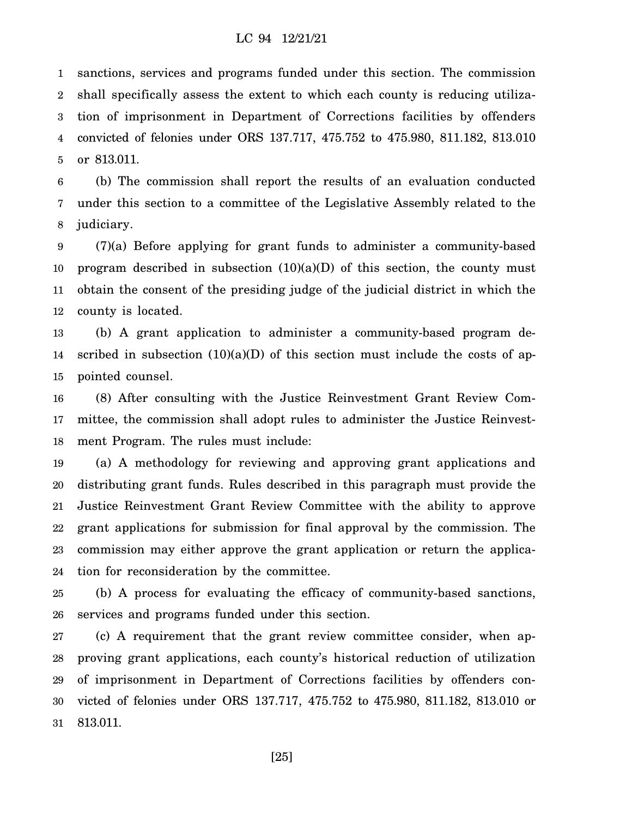1 2 3 4 5 sanctions, services and programs funded under this section. The commission shall specifically assess the extent to which each county is reducing utilization of imprisonment in Department of Corrections facilities by offenders convicted of felonies under ORS 137.717, 475.752 to 475.980, 811.182, 813.010 or 813.011.

6 7 8 (b) The commission shall report the results of an evaluation conducted under this section to a committee of the Legislative Assembly related to the judiciary.

9 10 11 12 (7)(a) Before applying for grant funds to administer a community-based program described in subsection  $(10)(a)(D)$  of this section, the county must obtain the consent of the presiding judge of the judicial district in which the county is located.

13 14 15 (b) A grant application to administer a community-based program described in subsection  $(10)(a)(D)$  of this section must include the costs of appointed counsel.

16 17 18 (8) After consulting with the Justice Reinvestment Grant Review Committee, the commission shall adopt rules to administer the Justice Reinvestment Program. The rules must include:

19 20 21 22 23 24 (a) A methodology for reviewing and approving grant applications and distributing grant funds. Rules described in this paragraph must provide the Justice Reinvestment Grant Review Committee with the ability to approve grant applications for submission for final approval by the commission. The commission may either approve the grant application or return the application for reconsideration by the committee.

25 26 (b) A process for evaluating the efficacy of community-based sanctions, services and programs funded under this section.

27 28 29 30 31 (c) A requirement that the grant review committee consider, when approving grant applications, each county's historical reduction of utilization of imprisonment in Department of Corrections facilities by offenders convicted of felonies under ORS 137.717, 475.752 to 475.980, 811.182, 813.010 or 813.011.

[25]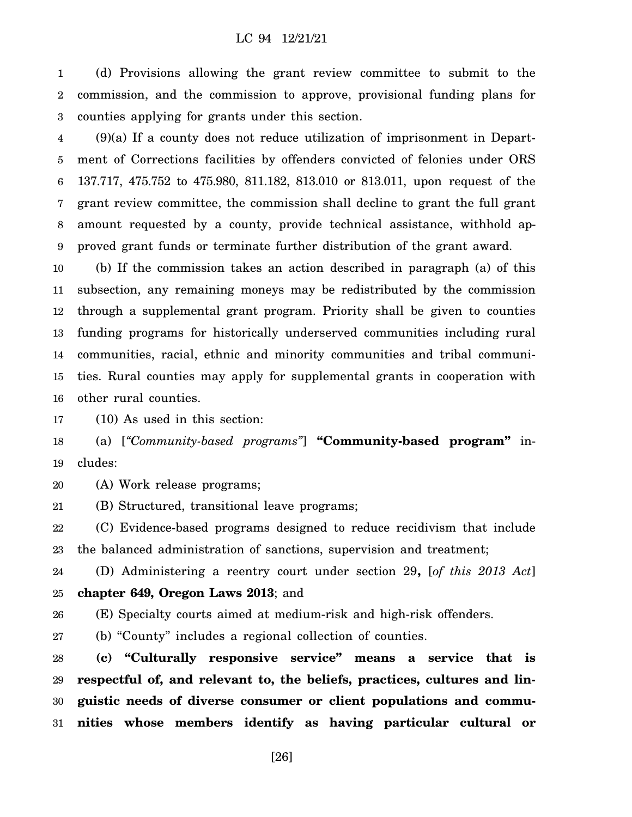1 2 3 (d) Provisions allowing the grant review committee to submit to the commission, and the commission to approve, provisional funding plans for counties applying for grants under this section.

4 5 6 7 8 9 (9)(a) If a county does not reduce utilization of imprisonment in Department of Corrections facilities by offenders convicted of felonies under ORS 137.717, 475.752 to 475.980, 811.182, 813.010 or 813.011, upon request of the grant review committee, the commission shall decline to grant the full grant amount requested by a county, provide technical assistance, withhold approved grant funds or terminate further distribution of the grant award.

10 11 12 13 14 15 16 (b) If the commission takes an action described in paragraph (a) of this subsection, any remaining moneys may be redistributed by the commission through a supplemental grant program. Priority shall be given to counties funding programs for historically underserved communities including rural communities, racial, ethnic and minority communities and tribal communities. Rural counties may apply for supplemental grants in cooperation with other rural counties.

17 (10) As used in this section:

18 19 (a) [*"Community-based programs"*] **"Community-based program"** includes:

20 (A) Work release programs;

21 (B) Structured, transitional leave programs;

22 23 (C) Evidence-based programs designed to reduce recidivism that include the balanced administration of sanctions, supervision and treatment;

24 25 (D) Administering a reentry court under section 29**,** [*of this 2013 Act*] **chapter 649, Oregon Laws 2013**; and

26 (E) Specialty courts aimed at medium-risk and high-risk offenders.

27 (b) "County" includes a regional collection of counties.

28 29 30 31 **(c) "Culturally responsive service" means a service that is respectful of, and relevant to, the beliefs, practices, cultures and linguistic needs of diverse consumer or client populations and communities whose members identify as having particular cultural or**

[26]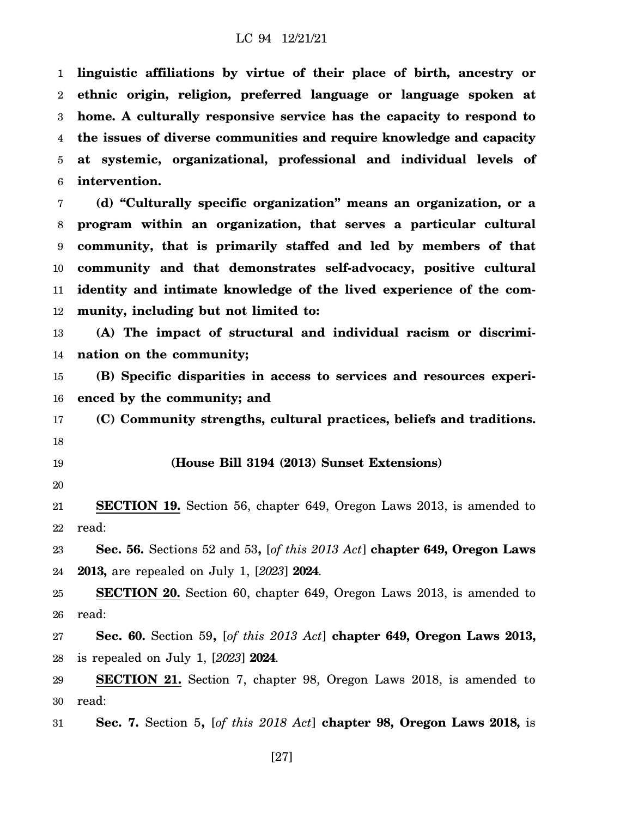1 2 3 4 5 6 **linguistic affiliations by virtue of their place of birth, ancestry or ethnic origin, religion, preferred language or language spoken at home. A culturally responsive service has the capacity to respond to the issues of diverse communities and require knowledge and capacity at systemic, organizational, professional and individual levels of intervention.**

7 8 9 10 11 12 **(d) "Culturally specific organization" means an organization, or a program within an organization, that serves a particular cultural community, that is primarily staffed and led by members of that community and that demonstrates self-advocacy, positive cultural identity and intimate knowledge of the lived experience of the community, including but not limited to:**

13 14 **(A) The impact of structural and individual racism or discrimination on the community;**

15 16 **(B) Specific disparities in access to services and resources experienced by the community; and**

17 18 **(C) Community strengths, cultural practices, beliefs and traditions.**

19

## **(House Bill 3194 (2013) Sunset Extensions)**

20

21 22 **SECTION 19.** Section 56, chapter 649, Oregon Laws 2013, is amended to read:

23 24 **Sec. 56.** Sections 52 and 53**,** [*of this 2013 Act*] **chapter 649, Oregon Laws 2013,** are repealed on July 1, [*2023*] **2024**.

25 26 **SECTION 20.** Section 60, chapter 649, Oregon Laws 2013, is amended to read:

27 28 **Sec. 60.** Section 59**,** [*of this 2013 Act*] **chapter 649, Oregon Laws 2013,** is repealed on July 1, [*2023*] **2024**.

29 30 **SECTION 21.** Section 7, chapter 98, Oregon Laws 2018, is amended to read:

31 **Sec. 7.** Section 5**,** [*of this 2018 Act*] **chapter 98, Oregon Laws 2018,** is

[27]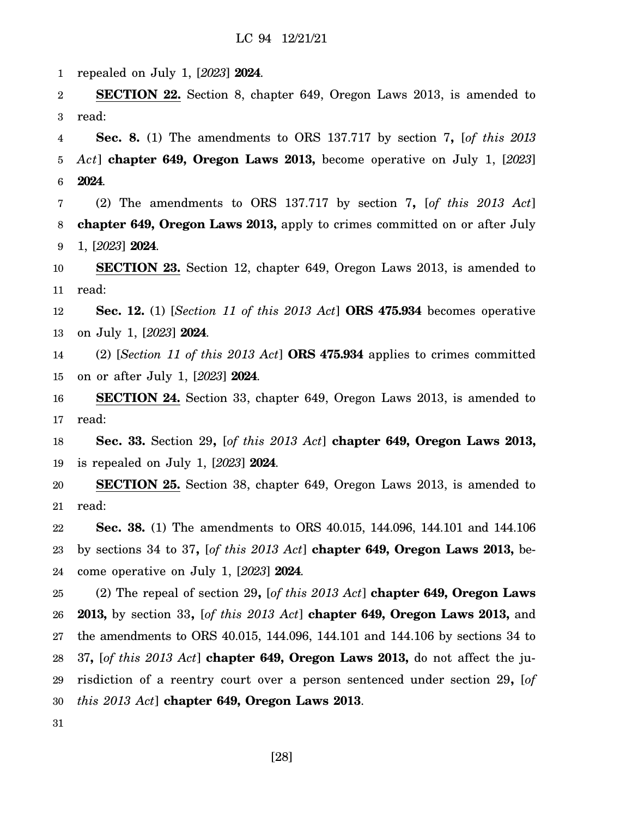1 repealed on July 1, [*2023*] **2024**.

2 3 **SECTION 22.** Section 8, chapter 649, Oregon Laws 2013, is amended to read:

4 5 6 **Sec. 8.** (1) The amendments to ORS 137.717 by section 7**,** [*of this 2013 Act*] **chapter 649, Oregon Laws 2013,** become operative on July 1, [*2023*] **2024**.

7 8 9 (2) The amendments to ORS 137.717 by section 7**,** [*of this 2013 Act*] **chapter 649, Oregon Laws 2013,** apply to crimes committed on or after July 1, [*2023*] **2024**.

10 11 **SECTION 23.** Section 12, chapter 649, Oregon Laws 2013, is amended to read:

12 13 **Sec. 12.** (1) [*Section 11 of this 2013 Act*] **ORS 475.934** becomes operative on July 1, [*2023*] **2024**.

14 15 (2) [*Section 11 of this 2013 Act*] **ORS 475.934** applies to crimes committed on or after July 1, [*2023*] **2024**.

16 17 **SECTION 24.** Section 33, chapter 649, Oregon Laws 2013, is amended to read:

18 19 **Sec. 33.** Section 29**,** [*of this 2013 Act*] **chapter 649, Oregon Laws 2013,** is repealed on July 1, [*2023*] **2024**.

20 21 **SECTION 25.** Section 38, chapter 649, Oregon Laws 2013, is amended to read:

22 23 24 **Sec. 38.** (1) The amendments to ORS 40.015, 144.096, 144.101 and 144.106 by sections 34 to 37**,** [*of this 2013 Act*] **chapter 649, Oregon Laws 2013,** become operative on July 1, [*2023*] **2024**.

25 26 27 28 29 30 (2) The repeal of section 29**,** [*of this 2013 Act*] **chapter 649, Oregon Laws 2013,** by section 33**,** [*of this 2013 Act*] **chapter 649, Oregon Laws 2013,** and the amendments to ORS 40.015, 144.096, 144.101 and 144.106 by sections 34 to 37**,** [*of this 2013 Act*] **chapter 649, Oregon Laws 2013,** do not affect the jurisdiction of a reentry court over a person sentenced under section 29**,** [*of this 2013 Act*] **chapter 649, Oregon Laws 2013**.

31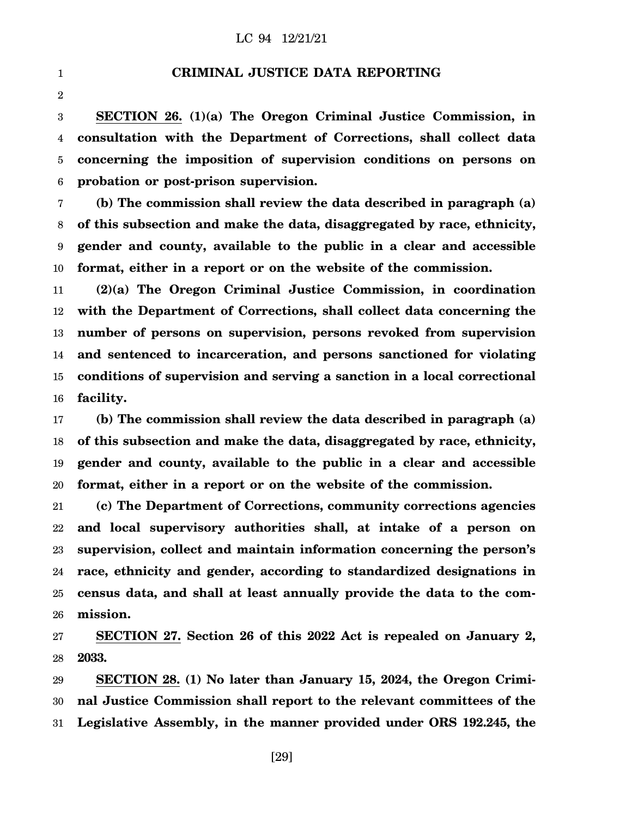1

2

**CRIMINAL JUSTICE DATA REPORTING**

3 4 5 6 **SECTION 26. (1)(a) The Oregon Criminal Justice Commission, in consultation with the Department of Corrections, shall collect data concerning the imposition of supervision conditions on persons on probation or post-prison supervision.**

7 8 9 10 **(b) The commission shall review the data described in paragraph (a) of this subsection and make the data, disaggregated by race, ethnicity, gender and county, available to the public in a clear and accessible format, either in a report or on the website of the commission.**

11 12 13 14 15 16 **(2)(a) The Oregon Criminal Justice Commission, in coordination with the Department of Corrections, shall collect data concerning the number of persons on supervision, persons revoked from supervision and sentenced to incarceration, and persons sanctioned for violating conditions of supervision and serving a sanction in a local correctional facility.**

17 18 19 20 **(b) The commission shall review the data described in paragraph (a) of this subsection and make the data, disaggregated by race, ethnicity, gender and county, available to the public in a clear and accessible format, either in a report or on the website of the commission.**

21 22 23 24 25 26 **(c) The Department of Corrections, community corrections agencies and local supervisory authorities shall, at intake of a person on supervision, collect and maintain information concerning the person's race, ethnicity and gender, according to standardized designations in census data, and shall at least annually provide the data to the commission.**

27 28 **SECTION 27. Section 26 of this 2022 Act is repealed on January 2, 2033.**

29 30 31 **SECTION 28. (1) No later than January 15, 2024, the Oregon Criminal Justice Commission shall report to the relevant committees of the Legislative Assembly, in the manner provided under ORS 192.245, the**

[29]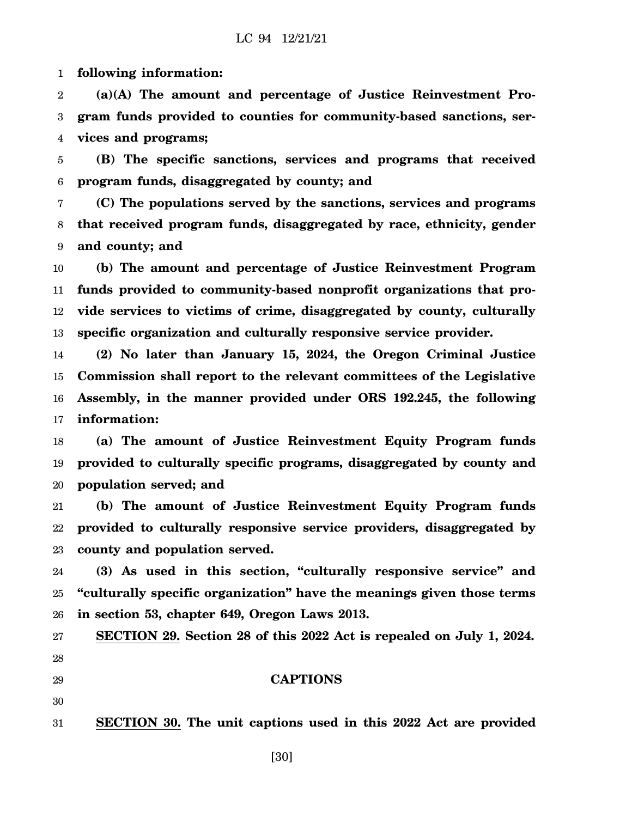1 **following information:**

2 3 4 **(a)(A) The amount and percentage of Justice Reinvestment Program funds provided to counties for community-based sanctions, services and programs;**

5 6 **(B) The specific sanctions, services and programs that received program funds, disaggregated by county; and**

7 8 9 **(C) The populations served by the sanctions, services and programs that received program funds, disaggregated by race, ethnicity, gender and county; and**

10 11 12 13 **(b) The amount and percentage of Justice Reinvestment Program funds provided to community-based nonprofit organizations that provide services to victims of crime, disaggregated by county, culturally specific organization and culturally responsive service provider.**

14 15 16 17 **(2) No later than January 15, 2024, the Oregon Criminal Justice Commission shall report to the relevant committees of the Legislative Assembly, in the manner provided under ORS 192.245, the following information:**

18 19 20 **(a) The amount of Justice Reinvestment Equity Program funds provided to culturally specific programs, disaggregated by county and population served; and**

21 22 23 **(b) The amount of Justice Reinvestment Equity Program funds provided to culturally responsive service providers, disaggregated by county and population served.**

24 25 26 **(3) As used in this section, "culturally responsive service" and "culturally specific organization" have the meanings given those terms in section 53, chapter 649, Oregon Laws 2013.**

**SECTION 29. Section 28 of this 2022 Act is repealed on July 1, 2024.**

**CAPTIONS**

27 28

29

30

31 **SECTION 30. The unit captions used in this 2022 Act are provided**

[30]